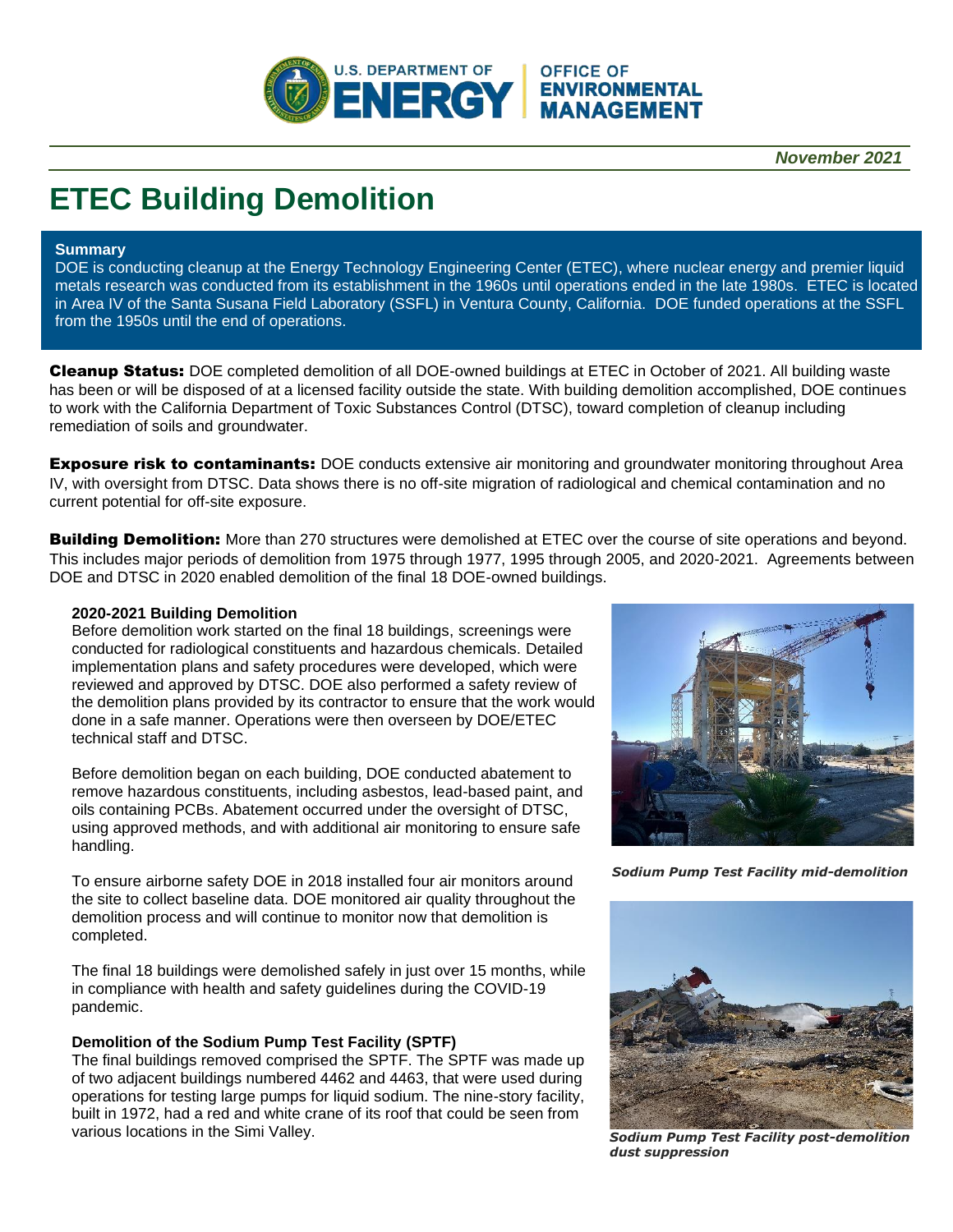

**OFFICE OF** 

*November 2021*

# **ETEC Building Demolition**

#### **Summary**

DOE is conducting cleanup at the Energy Technology Engineering Center (ETEC), where nuclear energy and premier liquid metals research was conducted from its establishment in the 1960s until operations ended in the late 1980s. ETEC is located in Area IV of the Santa Susana Field Laboratory (SSFL) in Ventura County, California. DOE funded operations at the SSFL from the 1950s until the end of operations.

Cleanup Status: DOE completed demolition of all DOE-owned buildings at ETEC in October of 2021. All building waste has been or will be disposed of at a licensed facility outside the state. With building demolition accomplished, DOE continues to work with the California Department of Toxic Substances Control (DTSC), toward completion of cleanup including remediation of soils and groundwater.

**Exposure risk to contaminants:** DOE conducts extensive air monitoring and groundwater monitoring throughout Area IV, with oversight from DTSC. Data shows there is no off-site migration of radiological and chemical contamination and no current potential for off-site exposure.

**Building Demolition:** More than 270 structures were demolished at ETEC over the course of site operations and beyond. This includes major periods of demolition from 1975 through 1977, 1995 through 2005, and 2020-2021. Agreements between DOE and DTSC in 2020 enabled demolition of the final 18 DOE-owned buildings.

## **2020-2021 Building Demolition**

Before demolition work started on the final 18 buildings, screenings were conducted for radiological constituents and hazardous chemicals. Detailed implementation plans and safety procedures were developed, which were reviewed and approved by DTSC. DOE also performed a safety review of the demolition plans provided by its contractor to ensure that the work would done in a safe manner. Operations were then overseen by DOE/ETEC technical staff and DTSC.

Before demolition began on each building, DOE conducted abatement to remove hazardous constituents, including asbestos, lead-based paint, and oils containing PCBs. Abatement occurred under the oversight of DTSC, using approved methods, and with additional air monitoring to ensure safe handling.

To ensure airborne safety DOE in 2018 installed four air monitors around the site to collect baseline data. DOE monitored air quality throughout the demolition process and will continue to monitor now that demolition is completed.

The final 18 buildings were demolished safely in just over 15 months, while in compliance with health and safety guidelines during the COVID-19 pandemic.

#### **Demolition of the Sodium Pump Test Facility (SPTF)**

The final buildings removed comprised the SPTF. The SPTF was made up of two adjacent buildings numbered 4462 and 4463, that were used during operations for testing large pumps for liquid sodium. The nine-story facility, built in 1972, had a red and white crane of its roof that could be seen from various locations in the Simi Valley.



*Sodium Pump Test Facility mid-demolition*



*Sodium Pump Test Facility post-demolition dust suppression*